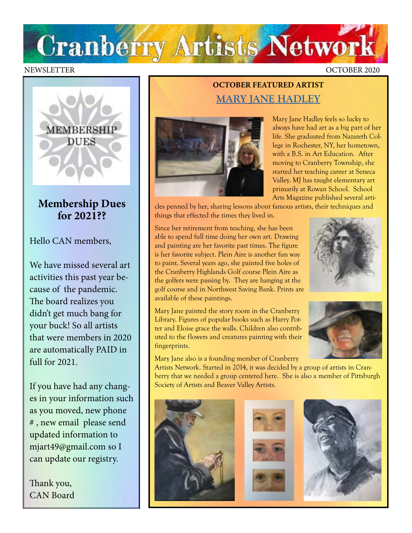

#### NEWSLETTER OCTOBER 2020



### **Membership Dues for 2021??**

Hello CAN members,

We have missed several art activities this past year because of the pandemic. The board realizes you didn't get much bang for your buck! So all artists that were members in 2020 are automatically PAID in full for 2021.

If you have had any changes in your information such as you moved, new phone # , new email please send updated information to mjart49@gmail.com so I can update our registry.

Thank you, CAN Board

## **OCTOBER FEATURED ARTIST [MARY JANE HADLEY](https://www.facebook.com/maryjane.hadley)**



Mary Jane Hadley feels so lucky to always have had art as a big part of her life. She graduated from Nazareth College in Rochester, NY, her hometown, with a B.S. in Art Education. After moving to Cranberry Township, she started her teaching career at Seneca Valley. MJ has taught elementary art primarily at Rowan School. School Arts Magazine published several arti-

cles penned by her, sharing lessons about famous artists, their techniques and things that effected the times they lived in.

Since her retirement from teaching, she has been able to spend full time doing her own art. Drawing and painting are her favorite past times. The figure is her favorite subject. Plein Aire is another fun way to paint. Several years ago, she painted five holes of the Cranberry Highlands Golf course Plein Aire as the golfers were passing by. They are hanging at the golf course and in Northwest Saving Bank. Prints are available of these paintings.

Mary Jane painted the story room in the Cranberry Library. Figures of popular books such as Harry Potter and Eloise grace the walls. Children also contributed to the flowers and creatures painting with their fingerprints.

Mary Jane also is a founding member of Cranberry





Artists Network. Started in 2014, it was decided by a group of artists in Cranberry that we needed a group centered here. She is also a member of Pittsburgh Society of Artists and Beaver Valley Artists.

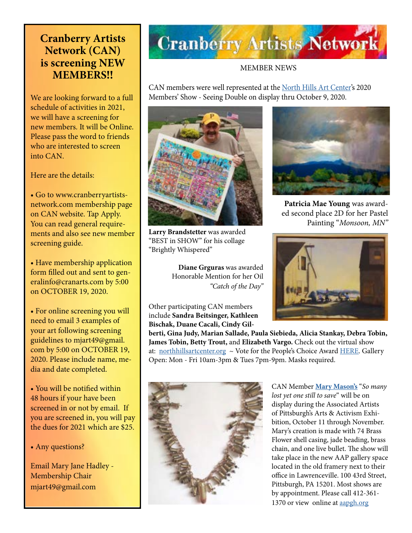## **Cranberry Artists Network (CAN) is screening NEW MEMBERS!!**

We are looking forward to a full schedule of activities in 2021, we will have a screening for new members. It will be Online. Please pass the word to friends who are interested to screen into CAN.

Here are the details:

• Go to www.cranberryartistsnetwork.com membership page on CAN website. Tap Apply. You can read general requirements and also see new member screening guide.

• Have membership application form filled out and sent to generalinfo@cranarts.com by 5:00 on OCTOBER 19, 2020.

• For online screening you will need to email 3 examples of your art following screening guidelines to mjart49@gmail. com by 5:00 on OCTOBER 19, 2020. Please include name, media and date completed.

• You will be notified within 48 hours if your have been screened in or not by email. If you are screened in, you will pay the dues for 2021 which are \$25.

#### • Any questions?

Email Mary Jane Hadley - Membership Chair mjart49@gmail.com

# **Cranberry Artists Network**

#### MEMBER NEWS

CAN members were well represented at the [North Hills Art Center'](https://northhillsartcenter.org/)s 2020 Members' Show - Seeing Double on display thru October 9, 2020.



**Larry Brandstetter** was awarded "BEST in SHOW" for his collage "Brightly Whispered"

**Diane Grguras** was awarded Honorable Mention for her Oil *"Catch of the Day"*

Other participating CAN members include **Sandra Beitsinger, Kathleen Bischak, Duane Cacali, Cindy Gil-**



**Patricia Mae Young** was awarded second place 2D for her Pastel Painting "*Monsoon, MN"* 



**berti, Gina Judy, Marian Sallade, Paula Siebieda, Alicia Stankay, Debra Tobin, James Tobin, Betty Trout,** and **Elizabeth Vargo.** Check out the virtual show at: [northhillsartcenter.org](http://northhillsartcenter.org) ~ Vote for the People's Choice Award [HERE](https://docs.google.com/forms/d/e/1FAIpQLScsSog0Kq7jG7CBDxJo6s7N85Dnja4aYVPOXaWGrNlpecg6Cg/viewform?vc=0&c=0&w=1&flr=0). Gallery Open: Mon - Fri 10am-3pm & Tues 7pm-9pm. Masks required.



CAN Member **[Mary Mason's](https://www.mmasonmetals.com/)** "*So many lost yet one still to save*" will be on display during the Associated Artists of Pittsburgh's Arts & Activism Exhibition, October 11 through November. Mary's creation is made with 74 Brass Flower shell casing, jade beading, brass chain, and one live bullet. The show will take place in the new AAP gallery space located in the old framery next to their office in Lawrenceville. 100 43rd Street, Pittsburgh, PA 15201. Most shows are by appointment. Please call 412-361 1370 or view online at [aapgh.org](https://www.aapgh.org/)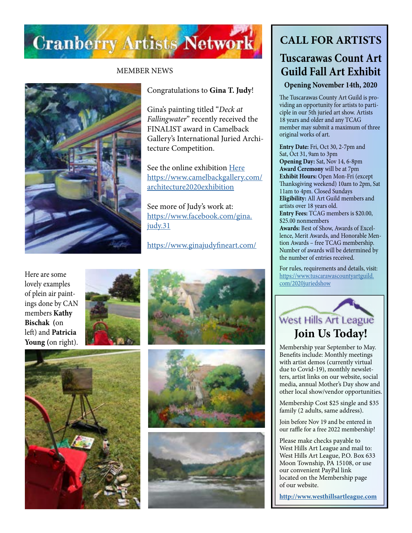

#### MEMBER NEWS



#### Congratulations to **Gina T. Judy**!

Gina's painting titled "*Deck at Fallingwater*" recently received the FINALIST award in Camelback Gallery's International Juried Architecture Competition.

See the online exhibition [Here](https://www.camelbackgallery.com/architecture2020exhibition) [https://www.camelbackgallery.com/](https://www.camelbackgallery.com/architecture2020exhibition) [architecture2020exhibition](https://www.camelbackgallery.com/architecture2020exhibition)

See more of Judy's work at: [https://www.facebook.com/gina.](https://www.facebook.com/gina.judy.31) [judy.31](https://www.facebook.com/gina.judy.31)

<https://www.ginajudyfineart.com/>

Here are some lovely examples of plein air paintings done by CAN members **Kathy Bischak (**on left) and **Patricia Young (**on right).











## **CALL FOR ARTISTS**

## **Tuscarawas Count Art Guild Fall Art Exhibit**

**Opening November 14th, 2020**

The Tuscarawas County Art Guild is providing an opportunity for artists to participle in our 5th juried art show. Artists 18 years and older and any TCAG member may submit a maximum of three original works of art.

**Entry Date:** Fri, Oct 30, 2-7pm and Sat, Oct 31, 9am to 3pm **Opening Day:** Sat, Nov 14, 6-8pm **Award Ceremony** will be at 7pm **Exhibit Hours:** Open Mon-Fri (except Thanksgiving weekend) 10am to 2pm, Sat 11am to 4pm. Closed Sundays **Eligibility:** All Art Guild members and artists over 18 years old. **Entry Fees:** TCAG members is \$20.00, \$25.00 nonmembers **Awards:** Best of Show, Awards of Excellence, Merit Awards, and Honorable Mention Awards – free TCAG membership. Number of awards will be determined by the number of entries received.

For rules, requirements and details, visit: [https://www.tuscarawascountyartguild.](https://www.tuscarawascountyartguild.com/2020juriedshow) [com/2020juriedshow](https://www.tuscarawascountyartguild.com/2020juriedshow)



Membership year September to May. Benefits include: Monthly meetings with artist demos (currently virtual due to Covid-19), monthly newsletters, artist links on our website, social media, annual Mother's Day show and other local show/vendor opportunities.

Membership Cost \$25 single and \$35 family (2 adults, same address).

Join before Nov 19 and be entered in our raffle for a free 2022 membership!

Please make checks payable to West Hills Art League and mail to: West Hills Art League, P.O. Box 633 Moon Township, PA 15108, or use our convenient PayPal link located on the Membership page of our website.

**<http://www.westhillsartleague.com>**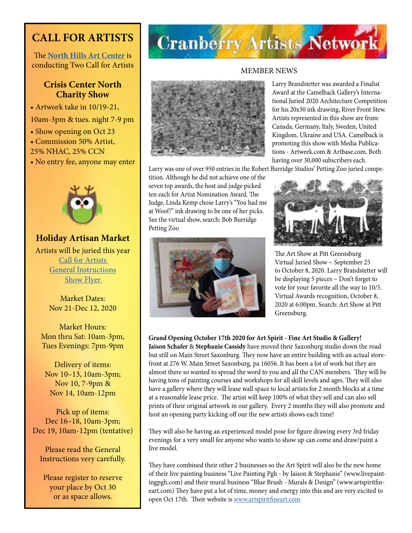## **CALL FOR ARTISTS**

The **[North Hills Art Center](https://northhillsartcenter.org/)** is conducting Two Call for Artists

### **Crisis Center North Charity Show**

• Artwork take in 10/19-21,

- 10am-3pm & tues. night 7-9 pm
- Show opening on Oct 23
- Commission 50% Artist,
- 25% NHAC, 25% CCN
- No entry fee, anyone may enter



**Holiday Artisan Market**  Artists will be juried this year [Call for Artists](https://northhillsartcenter.org/resources/Documents/Shows/HAM%20Artist%20Call%202020.jpg)  [General Instructions](https://northhillsartcenter.org/resources/Documents/Shows/Holiday%20Artisan) Show Flyer

Market Dates: Nov 21-Dec 12, 2020

Market Hours: Mon thru Sat: 10am-3pm, Tues Evenings: 7pm-9pm

Delivery of items: Nov 10–13, 10am-3pm; Nov 10, 7-9pm & Nov 14, 10am-12pm

Pick up of items: Dec 16–18, 10am-3pm; Dec 19, 10am-12pm (tentative)

Please read the General Instructions very carefully.

Please register to reserve your place by Oct 30 or as space allows.

## **Cranberry Artists Network**

#### MEMBER NEWS



tition. Although he did not achieve one of the seven top awards, the host and judge picked ten each for Artist Nomination Award. The Judge, Linda Kemp chose Larry's "You had me at Woof!" ink drawing to be one of her picks. See the virtual show, search: Bob Burridge Petting Zoo



Larry Brandstetter was awarded a Finalist Award at the Camelback Gallery's International Juried 2020 Architecture Competition for his 20x30 ink drawing, River Front Stew. Artists represented in this show are from: Canada, Germany, Italy, Sweden, United Kingdom, Ukraine and USA. Camelback is promoting this show with Media Publications - Artweek.com & Artbase.com. Both having over 30,000 subscribers each.

Larry was one of over 950 entries in the Robert Burridge Studios' Petting Zoo juried compe-



The Art Show at Pitt Greensburg Virtual Juried Show ~ September 25 to October 8, 2020. Larry Brandstetter will be displaying 5 pieces ~ Don't forget to vote for your favorite all the way to 10/5. Virtual Awards recognition, October 8, 2020 at 6:00pm. Search: Art Show at Pitt Greensburg.

**Grand Opening October 17th 2020 for Art Spirit - Fine Art Studio & Gallery!**

**Jaison Schafer** & **Stephanie Cassidy** have moved their Saxonburg studio down the road but still on Main Street Saxonburg. They now have an entire building with an actual storefront at 276 W. Main Street Saxonburg, pa 16056. It has been a lot of work but they are almost there so wanted to spread the word to you and all the CAN members. They will be having tons of painting courses and workshops for all skill levels and ages. They will also have a gallery where they will lease wall space to local artists for 2 month blocks at a time at a reasonable lease price. The artist will keep 100% of what they sell and can also sell prints of their original artwork in our gallery. Every 2 months they will also promote and host an opening party kicking off our the new artists shows each time!

They will also be having an experienced model pose for figure drawing every 3rd friday evenings for a very small fee anyone who wants to show up can come and draw/paint a live model.

They have combined their other 2 businesses so the Art Spirit will also be the new home of their live painting business "Live Painting Pgh - by Jaison & Stephanie" (www.livepaintingpgh.com) and their mural business "Blue Brush - Murals & Design" (www.artspiritfineart.com) They have put a lot of time, money and energy into this and are very excited to open Oct 17th. Their website is [www.artspiritfineart.com](http://www.artspiritfineart.com)